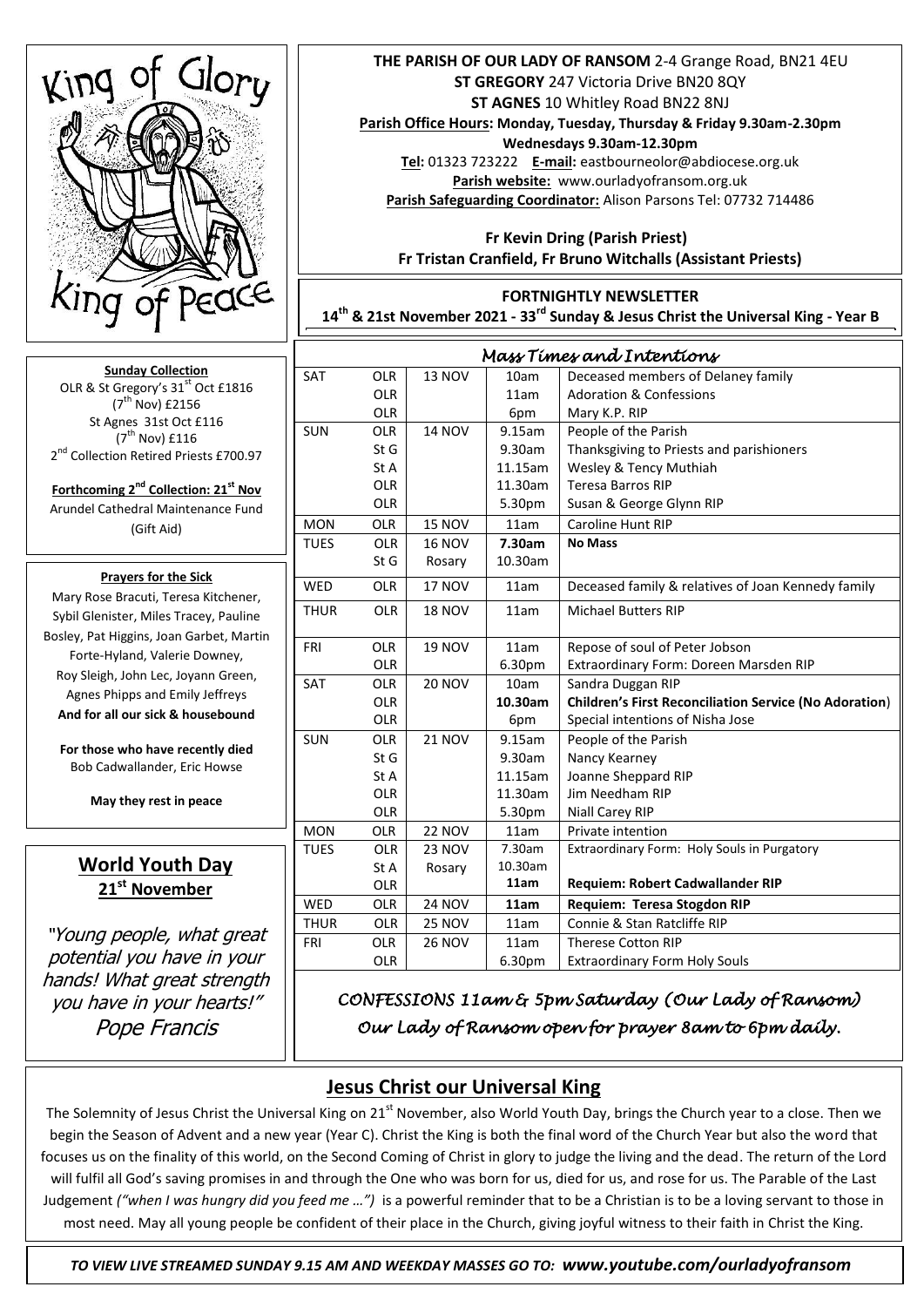

**Sunday Collection** OLR & St Gregory's 31<sup>st</sup> Oct £1816  $(7^{th}$  Nov) £2156 St Agnes 31st Oct £116  $(7^{\text{th}}$  Nov) £116 2<sup>nd</sup> Collection Retired Priests £700.97

**Forthcoming 2nd Collection: 21st Nov** Arundel Cathedral Maintenance Fund (Gift Aid)

#### **Prayers for the Sick**

**Bosley, Pat Higgins, Joan Garbet, Martin** Mary Rose Bracuti, Teresa Kitchener, Sybil Glenister, Miles Tracey, Pauline Forte-Hyland, Valerie Downey, Roy Sleigh, John Lec, Joyann Green, Agnes Phipps and Emily Jeffreys **And for all our sick & housebound**

**For those who have recently died** Bob Cadwallander, Eric Howse

**May they rest in peace**

# **World Youth Day 21st November**

"Young people, what great potential you have in your hands! What great strength you have in your hearts!" Pope Francis

### **THE PARISH OF OUR LADY OF RANSOM** 2-4 Grange Road, BN21 4EU **ST GREGORY** 247 Victoria Drive BN20 8QY **ST AGNES** 10 Whitley Road BN22 8NJ

**Parish Office Hours: Monday, Tuesday, Thursday & Friday 9.30am-2.30pm Wednesdays 9.30am-12.30pm**

**Tel:** 01323 723222 **E-mail:** eastbourneolor@abdiocese.org.uk **Parish website:** [www.ourladyofransom.org.uk](http://www.ourladyofransom.org.uk/) **Parish Safeguarding Coordinator:** Alison Parsons Tel: 07732 714486

 **Fr Kevin Dring (Parish Priest) Fr Tristan Cranfield, Fr Bruno Witchalls (Assistant Priests)**

### **FORTNIGHTLY NEWSLETTER**

**14th & 21st November 2021 - 33rd Sunday & Jesus Christ the Universal King - Year B**

| Mass Times and Intentions |            |               |         |                                                               |
|---------------------------|------------|---------------|---------|---------------------------------------------------------------|
| <b>SAT</b>                | <b>OLR</b> | <b>13 NOV</b> | 10am    | Deceased members of Delaney family                            |
|                           | <b>OLR</b> |               | 11am    | <b>Adoration &amp; Confessions</b>                            |
|                           | <b>OLR</b> |               | 6pm     | Mary K.P. RIP                                                 |
| <b>SUN</b>                | <b>OLR</b> | <b>14 NOV</b> | 9.15am  | People of the Parish                                          |
|                           | StG        |               | 9.30am  | Thanksgiving to Priests and parishioners                      |
|                           | St A       |               | 11.15am | Wesley & Tency Muthiah                                        |
|                           | <b>OLR</b> |               | 11.30am | <b>Teresa Barros RIP</b>                                      |
|                           | <b>OLR</b> |               | 5.30pm  | Susan & George Glynn RIP                                      |
| <b>MON</b>                | <b>OLR</b> | <b>15 NOV</b> | 11am    | <b>Caroline Hunt RIP</b>                                      |
| <b>TUES</b>               | <b>OLR</b> | <b>16 NOV</b> | 7.30am  | <b>No Mass</b>                                                |
|                           | St G       | Rosary        | 10.30am |                                                               |
| <b>WED</b>                | <b>OLR</b> | <b>17 NOV</b> | 11am    | Deceased family & relatives of Joan Kennedy family            |
| <b>THUR</b>               | <b>OLR</b> | <b>18 NOV</b> | 11am    | <b>Michael Butters RIP</b>                                    |
|                           |            |               |         |                                                               |
| <b>FRI</b>                | <b>OLR</b> | <b>19 NOV</b> | 11am    | Repose of soul of Peter Jobson                                |
|                           | <b>OLR</b> |               | 6.30pm  | Extraordinary Form: Doreen Marsden RIP                        |
| <b>SAT</b>                | <b>OLR</b> | <b>20 NOV</b> | 10am    | Sandra Duggan RIP                                             |
|                           | <b>OLR</b> |               | 10.30am | <b>Children's First Reconciliation Service (No Adoration)</b> |
|                           | <b>OLR</b> |               | 6pm     | Special intentions of Nisha Jose                              |
| <b>SUN</b>                | <b>OLR</b> | <b>21 NOV</b> | 9.15am  | People of the Parish                                          |
|                           | St G       |               | 9.30am  | Nancy Kearney                                                 |
|                           | St A       |               | 11.15am | Joanne Sheppard RIP                                           |
|                           | <b>OLR</b> |               | 11.30am | Jim Needham RIP                                               |
|                           | <b>OLR</b> |               | 5.30pm  | <b>Niall Carey RIP</b>                                        |
| <b>MON</b>                | <b>OLR</b> | <b>22 NOV</b> | 11am    | Private intention                                             |
| <b>TUES</b>               | <b>OLR</b> | <b>23 NOV</b> | 7.30am  | Extraordinary Form: Holy Souls in Purgatory                   |
|                           | St A       | Rosary        | 10.30am |                                                               |
|                           | <b>OLR</b> |               | 11am    | Requiem: Robert Cadwallander RIP                              |
| <b>WED</b>                | <b>OLR</b> | <b>24 NOV</b> | 11am    | Requiem: Teresa Stogdon RIP                                   |
| <b>THUR</b>               | <b>OLR</b> | <b>25 NOV</b> | 11am    | Connie & Stan Ratcliffe RIP                                   |
| FRI                       | <b>OLR</b> | <b>26 NOV</b> | 11am    | <b>Therese Cotton RIP</b>                                     |
|                           | <b>OLR</b> |               | 6.30pm  | <b>Extraordinary Form Holy Souls</b>                          |

*CONFESSIONS 11am & 5pm Saturday (Our Lady of Ransom) Our Lady of Ransom open for prayer 8am to 6pm daily.* 

# **Jesus Christ our Universal King**

The Solemnity of Jesus Christ the Universal King on 21<sup>st</sup> November, also World Youth Day, brings the Church year to a close. Then we begin the Season of Advent and a new year (Year C). Christ the King is both the final word of the Church Year but also the word that focuses us on the finality of this world, on the Second Coming of Christ in glory to judge the living and the dead. The return of the Lord will fulfil all God's saving promises in and through the One who was born for us, died for us, and rose for us. The Parable of the Last Judgement *("when I was hungry did you feed me …")* is a powerful reminder that to be a Christian is to be a loving servant to those in most need. May all young people be confident of their place in the Church, giving joyful witness to their faith in Christ the King.

 *TO VIEW LIVE STREAMED SUNDAY 9.15 AM AND WEEKDAY MASSES GO TO: www.youtube.com/ourladyofransom*